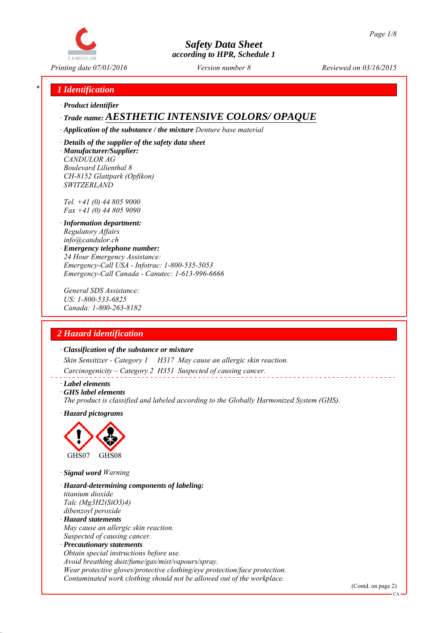

*Printing date 07/01/2016 Reviewed on 03/16/2015 Version number 8*

## *\* 1 Identification*

*∙ Product identifier*

# *∙ Trade name: AESTHETIC INTENSIVE COLORS/ OPAQUE*

*∙ Application of the substance / the mixture Denture base material*

*∙ Details of the supplier of the safety data sheet ∙ Manufacturer/Supplier: CANDULOR AG Boulevard Lilienthal 8 CH-8152 Glattpark (Opfikon) SWITZERLAND*

*Tel. +41 (0) 44 805 9000 Fax +41 (0) 44 805 9090*

- *∙ Information department: Regulatory Affairs info@candulor.ch*
- *∙ Emergency telephone number: 24 Hour Emergency Assistance: Emergency-Call USA - Infotrac: 1-800-535-5053 Emergency-Call Canada - Canutec: 1-613-996-6666*

*General SDS Assistance: US: 1-800-533-6825 Canada: 1-800-263-8182*

# *2 Hazard identification*

#### *∙ Classification of the substance or mixture*

*Skin Sensitizer - Category 1 H317 May cause an allergic skin reaction.*

*Carcinogenicity – Category 2 H351 Suspected of causing cancer.*

*∙ Label elements*

*∙ GHS label elements*

*The product is classified and labeled according to the Globally Harmonized System (GHS).*

*∙ Hazard pictograms*



*∙ Signal word Warning*

- *∙ Hazard-determining components of labeling: titanium dioxide Talc (Mg3H2(SiO3)4) dibenzoyl peroxide*
- *∙ Hazard statements May cause an allergic skin reaction. Suspected of causing cancer.*
- *∙ Precautionary statements Obtain special instructions before use. Avoid breathing dust/fume/gas/mist/vapours/spray. Wear protective gloves/protective clothing/eye protection/face protection. Contaminated work clothing should not be allowed out of the workplace.*

(Contd. on page 2)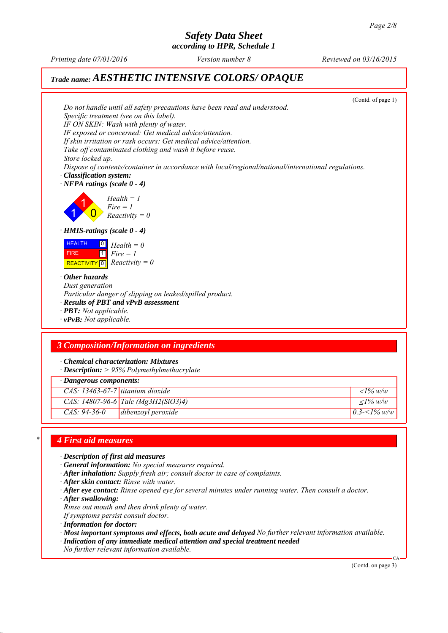*according to HPR, Schedule 1*

*Printing date 07/01/2016 Reviewed on 03/16/2015 Version number 8*

# *Trade name: AESTHETIC INTENSIVE COLORS/ OPAQUE*

(Contd. of page 1) *Do not handle until all safety precautions have been read and understood. Specific treatment (see on this label). IF ON SKIN: Wash with plenty of water. IF exposed or concerned: Get medical advice/attention. If skin irritation or rash occurs: Get medical advice/attention. Take off contaminated clothing and wash it before reuse. Store locked up. Dispose of contents/container in accordance with local/regional/national/international regulations. ∙ Classification system: ∙ NFPA ratings (scale 0 - 4)* 1 1  $\overline{\mathbf{0}}$ *Health = 1 Fire = 1 Reactivity = 0 ∙ HMIS-ratings (scale 0 - 4)* **HEALTH**  FIRE  $\boxed{\text{REACTIVITY} \boxed{0}}$  Reactivity = 0  $\boxed{0}$  $\overline{1}$ *Health = 0 Fire = 1 ∙ Other hazards Dust generation Particular danger of slipping on leaked/spilled product. ∙ Results of PBT and vPvB assessment ∙ PBT: Not applicable. ∙ vPvB: Not applicable.*

## *3 Composition/Information on ingredients*

*∙ Chemical characterization: Mixtures*

*∙ Description: > 95% Polymethylmethacrylate*

|                                    | · Dangerous components:             |                    |  |
|------------------------------------|-------------------------------------|--------------------|--|
| $CAS: 13463-67-7$ titanium dioxide |                                     | $\langle$ 1% w/w   |  |
|                                    | CAS: 14807-96-6 Talc (Mg3H2(SiO3)4) | $\langle$ 1% w/w   |  |
| $CAS: 94-36-0$                     | dibenzoyl peroxide                  | 0.3- $\leq$ 1% w/w |  |

#### *\* 4 First aid measures*

- *∙ Description of first aid measures*
- *∙ General information: No special measures required.*
- *∙ After inhalation: Supply fresh air; consult doctor in case of complaints.*
- *∙ After skin contact: Rinse with water.*
- *∙ After eye contact: Rinse opened eye for several minutes under running water. Then consult a doctor.*
- *∙ After swallowing:*
- *Rinse out mouth and then drink plenty of water.*
- *If symptoms persist consult doctor.*
- *∙ Information for doctor:*
- *∙ Most important symptoms and effects, both acute and delayed No further relevant information available.*
- *∙ Indication of any immediate medical attention and special treatment needed*
- *No further relevant information available.*

(Contd. on page 3)

CA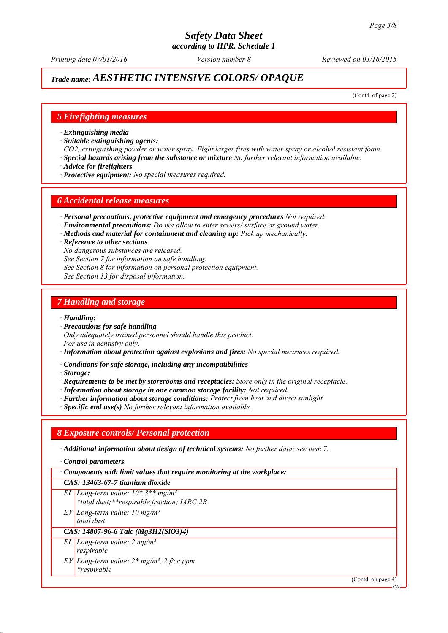# *Trade name: AESTHETIC INTENSIVE COLORS/ OPAQUE*

(Contd. of page 2)

### *5 Firefighting measures*

*∙ Extinguishing media*

- *∙ Suitable extinguishing agents:*
- *CO2, extinguishing powder or water spray. Fight larger fires with water spray or alcohol resistant foam.*
- *∙ Special hazards arising from the substance or mixture No further relevant information available.*
- *∙ Advice for firefighters*
- *∙ Protective equipment: No special measures required.*

#### *6 Accidental release measures*

- *∙ Personal precautions, protective equipment and emergency procedures Not required.*
- *∙ Environmental precautions: Do not allow to enter sewers/ surface or ground water.*
- *∙ Methods and material for containment and cleaning up: Pick up mechanically.*

*∙ Reference to other sections*

- *No dangerous substances are released.*
- *See Section 7 for information on safe handling.*
- *See Section 8 for information on personal protection equipment.*
- *See Section 13 for disposal information.*

#### *7 Handling and storage*

*∙ Handling:*

*∙ Precautions for safe handling*

*Only adequately trained personnel should handle this product. For use in dentistry only.*

*∙ Information about protection against explosions and fires: No special measures required.*

*∙ Conditions for safe storage, including any incompatibilities*

*∙ Storage:*

- *∙ Requirements to be met by storerooms and receptacles: Store only in the original receptacle.*
- *∙ Information about storage in one common storage facility: Not required.*
- *∙ Further information about storage conditions: Protect from heat and direct sunlight.*
- *∙ Specific end use(s) No further relevant information available.*

## *8 Exposure controls/ Personal protection*

- *∙ Additional information about design of technical systems: No further data; see item 7.*
- *∙ Control parameters*

*∙ Components with limit values that require monitoring at the workplace:*

*CAS: 13463-67-7 titanium dioxide*

- *EL Long-term value: 10\* 3\*\* mg/m³*
- *\*total dust;\*\*respirable fraction; IARC 2B*
- *EV Long-term value: 10 mg/m³*
- *total dust*

# *CAS: 14807-96-6 Talc (Mg3H2(SiO3)4)*

- *EL Long-term value: 2 mg/m³ respirable*
- *EV Long-term value: 2\* mg/m³, 2 f/cc ppm \*respirable*

(Contd. on page 4)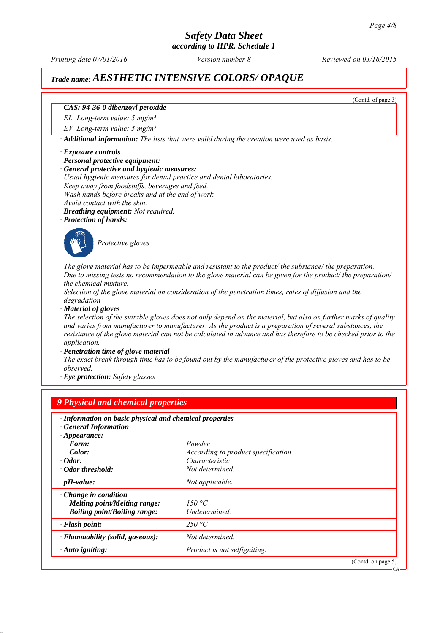*according to HPR, Schedule 1*

*Printing date 07/01/2016 Reviewed on 03/16/2015 Version number 8*

# *Trade name: AESTHETIC INTENSIVE COLORS/ OPAQUE*

(Contd. of page 3)

#### *CAS: 94-36-0 dibenzoyl peroxide*

*EL Long-term value: 5 mg/m³*

*EV Long-term value: 5 mg/m³*

*∙ Additional information: The lists that were valid during the creation were used as basis.*

#### *∙ Exposure controls*

- *∙ Personal protective equipment:*
- *∙ General protective and hygienic measures:*
- *Usual hygienic measures for dental practice and dental laboratories.*

*Keep away from foodstuffs, beverages and feed.*

*Wash hands before breaks and at the end of work.*

- *Avoid contact with the skin.*
- *∙ Breathing equipment: Not required.*
- *∙ Protection of hands:*



*Protective gloves*

*The glove material has to be impermeable and resistant to the product/ the substance/ the preparation. Due to missing tests no recommendation to the glove material can be given for the product/ the preparation/ the chemical mixture.*

*Selection of the glove material on consideration of the penetration times, rates of diffusion and the degradation*

*∙ Material of gloves*

*The selection of the suitable gloves does not only depend on the material, but also on further marks of quality and varies from manufacturer to manufacturer. As the product is a preparation of several substances, the resistance of the glove material can not be calculated in advance and has therefore to be checked prior to the application.*

*∙ Penetration time of glove material*

*The exact break through time has to be found out by the manufacturer of the protective gloves and has to be observed.*

*∙ Eye protection: Safety glasses*

| · Information on basic physical and chemical properties<br><b>General Information</b><br>$\cdot$ Appearance: |                                    |  |
|--------------------------------------------------------------------------------------------------------------|------------------------------------|--|
| Form:                                                                                                        | Powder                             |  |
| Color:                                                                                                       | According to product specification |  |
| $\cdot$ Odor:                                                                                                | Characteristic                     |  |
| • Odor threshold:                                                                                            | Not determined.                    |  |
| $\cdot$ pH-value:                                                                                            | Not applicable.                    |  |
| $\cdot$ Change in condition                                                                                  |                                    |  |
| Melting point/Melting range:                                                                                 | 150 °C                             |  |
| <b>Boiling point/Boiling range:</b>                                                                          | Undetermined.                      |  |
| · Flash point:                                                                                               | 250 °C                             |  |
| · Flammability (solid, gaseous):                                                                             | Not determined.                    |  |
| $\cdot$ Auto igniting:                                                                                       | Product is not selfigniting.       |  |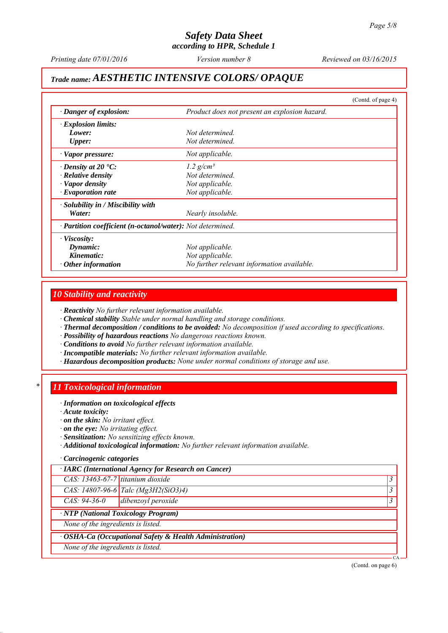*according to HPR, Schedule 1*

*Printing date 07/01/2016 Reviewed on 03/16/2015 Version number 8*

# *Trade name: AESTHETIC INTENSIVE COLORS/ OPAQUE*

|                                                            | (Contd. of page 4)                            |
|------------------------------------------------------------|-----------------------------------------------|
| $\cdot$ Danger of explosion:                               | Product does not present an explosion hazard. |
| $\cdot$ Explosion limits:                                  |                                               |
| Lower:                                                     | Not determined.                               |
| <b>Upper:</b>                                              | Not determined.                               |
| · Vapor pressure:                                          | Not applicable.                               |
| $\cdot$ Density at 20 $\cdot$ C:                           | 1.2 $g/cm^3$                                  |
| · Relative density                                         | Not determined.                               |
| $\cdot$ Vapor density                                      | Not applicable.                               |
| $\cdot$ Evaporation rate                                   | Not applicable.                               |
| $\cdot$ Solubility in / Miscibility with                   |                                               |
| Water:                                                     | Nearly insoluble.                             |
| · Partition coefficient (n-octanol/water): Not determined. |                                               |
| $\cdot$ Viscosity:                                         |                                               |
| Dynamic:                                                   | Not applicable.                               |
| Kinematic:                                                 | Not applicable.                               |
| $\cdot$ Other information                                  | No further relevant information available.    |

### *10 Stability and reactivity*

*∙ Reactivity No further relevant information available.*

- *∙ Chemical stability Stable under normal handling and storage conditions.*
- *∙ Thermal decomposition / conditions to be avoided: No decomposition if used according to specifications.*
- *∙ Possibility of hazardous reactions No dangerous reactions known.*
- *∙ Conditions to avoid No further relevant information available.*
- *∙ Incompatible materials: No further relevant information available.*
- *∙ Hazardous decomposition products: None under normal conditions of storage and use.*

#### *\* 11 Toxicological information*

#### *∙ Information on toxicological effects*

- *∙ Acute toxicity:*
- *∙ on the skin: No irritant effect.*
- *∙ on the eye: No irritating effect.*
- *∙ Sensitization: No sensitizing effects known.*
- *∙ Additional toxicological information: No further relevant information available.*

#### *∙ Carcinogenic categories*

|                                    | · IARC (International Agency for Research on Cancer)                    |    |
|------------------------------------|-------------------------------------------------------------------------|----|
| CAS: 13463-67-7 titanium dioxide   |                                                                         |    |
|                                    | CAS: 14807-96-6 Talc (Mg3H2(SiO3)4)                                     |    |
| $CAS: 94-36-0$                     | dibenzoyl peroxide                                                      |    |
|                                    | $\overline{NTP(National Toxicology Program)}$                           |    |
| None of the ingredients is listed. |                                                                         |    |
|                                    | $\overline{\cdot$ OSHA-Ca (Occupational Safety & Health Administration) |    |
| None of the ingredients is listed. |                                                                         |    |
|                                    |                                                                         | CA |

(Contd. on page 6)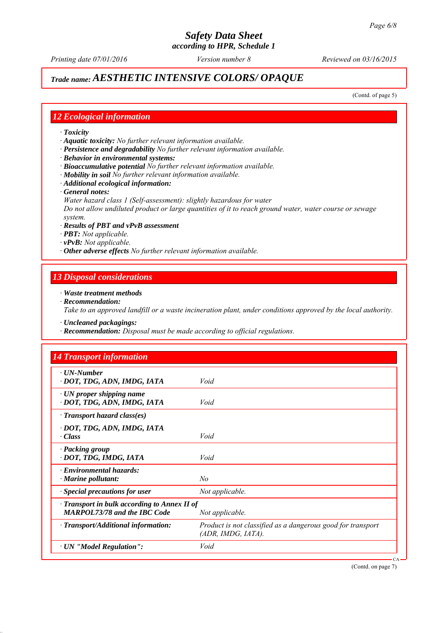*Printing date 07/01/2016 Reviewed on 03/16/2015 Version number 8*

# *Trade name: AESTHETIC INTENSIVE COLORS/ OPAQUE*

(Contd. of page 5)

### *12 Ecological information*

- *∙ Toxicity*
- *∙ Aquatic toxicity: No further relevant information available.*
- *∙ Persistence and degradability No further relevant information available.*
- *∙ Behavior in environmental systems:*
- *∙ Bioaccumulative potential No further relevant information available.*
- *∙ Mobility in soil No further relevant information available.*
- *∙ Additional ecological information:*
- *∙ General notes:*
- *Water hazard class 1 (Self-assessment): slightly hazardous for water*

*Do not allow undiluted product or large quantities of it to reach ground water, water course or sewage system.*

- *∙ Results of PBT and vPvB assessment*
- *∙ PBT: Not applicable.*
- *∙ vPvB: Not applicable.*
- *∙ Other adverse effects No further relevant information available.*

#### *13 Disposal considerations*

- *∙ Waste treatment methods*
- *∙ Recommendation:*

*Take to an approved landfill or a waste incineration plant, under conditions approved by the local authority.*

*∙ Uncleaned packagings:*

*∙ Recommendation: Disposal must be made according to official regulations.*

| · UN-Number<br>· DOT, TDG, ADN, IMDG, IATA                                        | Void                                                                              |
|-----------------------------------------------------------------------------------|-----------------------------------------------------------------------------------|
| $\cdot$ UN proper shipping name<br>· DOT, TDG, ADN, IMDG, IATA                    | Void                                                                              |
| $\cdot$ Transport hazard class(es)                                                |                                                                                   |
| · DOT, TDG, ADN, IMDG, IATA<br>· Class                                            | Void                                                                              |
| · Packing group<br>· DOT, TDG, IMDG, IATA                                         | Void                                                                              |
| $\cdot$ Environmental hazards:<br>$\cdot$ Marine pollutant:                       | No                                                                                |
| · Special precautions for user                                                    | Not applicable.                                                                   |
| Transport in bulk according to Annex II of<br><b>MARPOL73/78 and the IBC Code</b> | Not applicable.                                                                   |
| · Transport/Additional information:                                               | Product is not classified as a dangerous good for transport<br>(ADR, IMDG, IATA). |
| · UN "Model Regulation":                                                          | Void                                                                              |

(Contd. on page 7)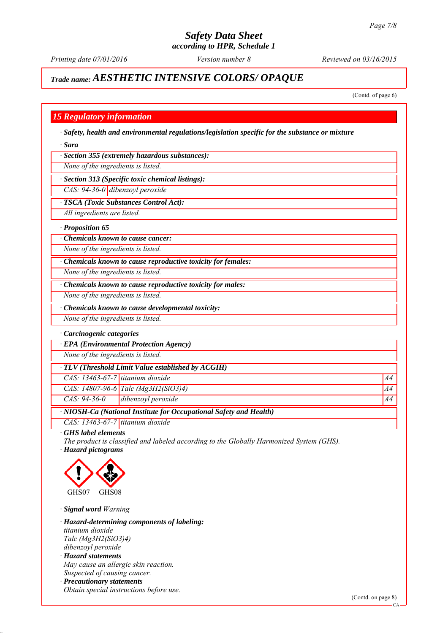*Printing date 07/01/2016 Reviewed on 03/16/2015 Version number 8*

# *Trade name: AESTHETIC INTENSIVE COLORS/ OPAQUE*

(Contd. of page 6)

### *15 Regulatory information*

*∙ Safety, health and environmental regulations/legislation specific for the substance or mixture*

*∙ Sara*

*∙ Section 355 (extremely hazardous substances):*

*None of the ingredients is listed.*

*∙ Section 313 (Specific toxic chemical listings):*

*CAS: 94-36-0 dibenzoyl peroxide*

*∙ TSCA (Toxic Substances Control Act):*

*All ingredients are listed.*

*∙ Proposition 65*

*∙ Chemicals known to cause cancer:*

*None of the ingredients is listed.*

*∙ Chemicals known to cause reproductive toxicity for females:*

*None of the ingredients is listed.*

*∙ Chemicals known to cause reproductive toxicity for males:*

*None of the ingredients is listed.*

*∙ Chemicals known to cause developmental toxicity:*

*None of the ingredients is listed.*

*∙ Carcinogenic categories*

*∙ EPA (Environmental Protection Agency)*

*None of the ingredients is listed.*

*∙ TLV (Threshold Limit Value established by ACGIH)*

*CAS: 13463-67-7 titanium dioxide A4*

*CAS: 14807-96-6 Talc (Mg3H2(SiO3)4) A4*

*CAS: 94-36-0 dibenzoyl peroxide A4*

*∙ NIOSH-Ca (National Institute for Occupational Safety and Health)*

*CAS: 13463-67-7 titanium dioxide*

*∙ GHS label elements*

*The product is classified and labeled according to the Globally Harmonized System (GHS). ∙ Hazard pictograms*



*∙ Signal word Warning*

*∙ Hazard-determining components of labeling: titanium dioxide Talc (Mg3H2(SiO3)4) dibenzoyl peroxide ∙ Hazard statements*

- *May cause an allergic skin reaction. Suspected of causing cancer.*
- *∙ Precautionary statements*
- *Obtain special instructions before use.*

CA